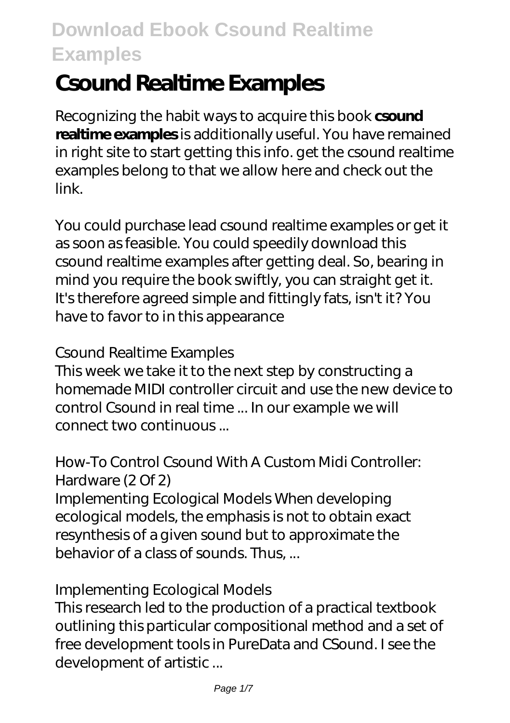# **Csound Realtime Examples**

Recognizing the habit ways to acquire this book **csound realtime examples** is additionally useful. You have remained in right site to start getting this info. get the csound realtime examples belong to that we allow here and check out the link.

You could purchase lead csound realtime examples or get it as soon as feasible. You could speedily download this csound realtime examples after getting deal. So, bearing in mind you require the book swiftly, you can straight get it. It's therefore agreed simple and fittingly fats, isn't it? You have to favor to in this appearance

#### *Csound Realtime Examples*

This week we take it to the next step by constructing a homemade MIDI controller circuit and use the new device to control Csound in real time ... In our example we will connect two continuous ...

#### *How-To Control Csound With A Custom Midi Controller: Hardware (2 Of 2)*

Implementing Ecological Models When developing ecological models, the emphasis is not to obtain exact resynthesis of a given sound but to approximate the behavior of a class of sounds. Thus, ...

#### *Implementing Ecological Models*

This research led to the production of a practical textbook outlining this particular compositional method and a set of free development tools in PureData and CSound. I see the development of artistic ...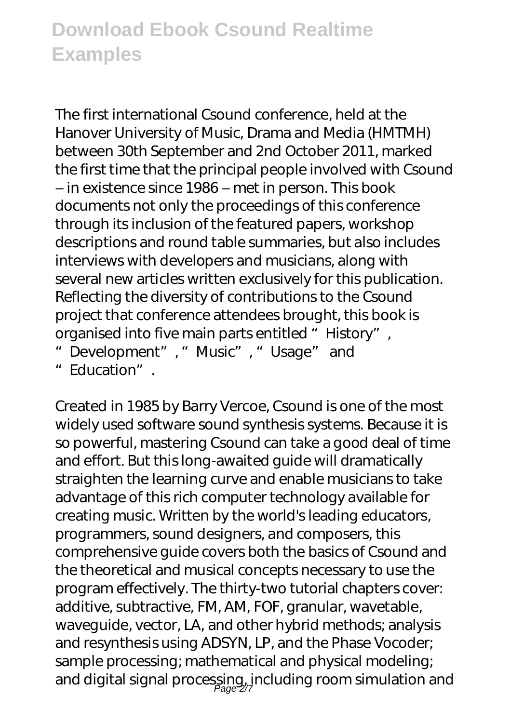The first international Csound conference, held at the Hanover University of Music, Drama and Media (HMTMH) between 30th September and 2nd October 2011, marked the first time that the principal people involved with Csound – in existence since 1986 – met in person. This book documents not only the proceedings of this conference through its inclusion of the featured papers, workshop descriptions and round table summaries, but also includes interviews with developers and musicians, along with several new articles written exclusively for this publication. Reflecting the diversity of contributions to the Csound project that conference attendees brought, this book is organised into five main parts entitled "History",

- "Development", "Music", "Usage" and
- "Education".

Created in 1985 by Barry Vercoe, Csound is one of the most widely used software sound synthesis systems. Because it is so powerful, mastering Csound can take a good deal of time and effort. But this long-awaited guide will dramatically straighten the learning curve and enable musicians to take advantage of this rich computer technology available for creating music. Written by the world's leading educators, programmers, sound designers, and composers, this comprehensive guide covers both the basics of Csound and the theoretical and musical concepts necessary to use the program effectively. The thirty-two tutorial chapters cover: additive, subtractive, FM, AM, FOF, granular, wavetable, waveguide, vector, LA, and other hybrid methods; analysis and resynthesis using ADSYN, LP, and the Phase Vocoder; sample processing; mathematical and physical modeling; and digital signal processing, including room simulation and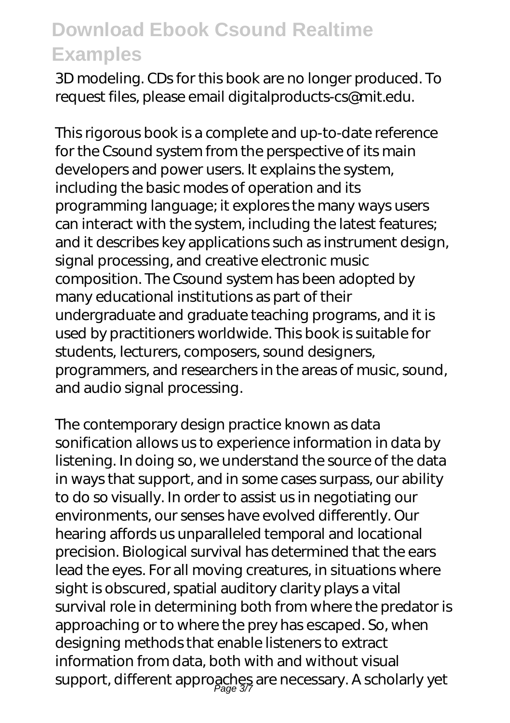3D modeling. CDs for this book are no longer produced. To request files, please email digitalproducts-cs@mit.edu.

This rigorous book is a complete and up-to-date reference for the Csound system from the perspective of its main developers and power users. It explains the system, including the basic modes of operation and its programming language; it explores the many ways users can interact with the system, including the latest features; and it describes key applications such as instrument design, signal processing, and creative electronic music composition. The Csound system has been adopted by many educational institutions as part of their undergraduate and graduate teaching programs, and it is used by practitioners worldwide. This book is suitable for students, lecturers, composers, sound designers, programmers, and researchers in the areas of music, sound, and audio signal processing.

The contemporary design practice known as data sonification allows us to experience information in data by listening. In doing so, we understand the source of the data in ways that support, and in some cases surpass, our ability to do so visually. In order to assist us in negotiating our environments, our senses have evolved differently. Our hearing affords us unparalleled temporal and locational precision. Biological survival has determined that the ears lead the eyes. For all moving creatures, in situations where sight is obscured, spatial auditory clarity plays a vital survival role in determining both from where the predator is approaching or to where the prey has escaped. So, when designing methods that enable listeners to extract information from data, both with and without visual support, different approaches are necessary. A scholarly yet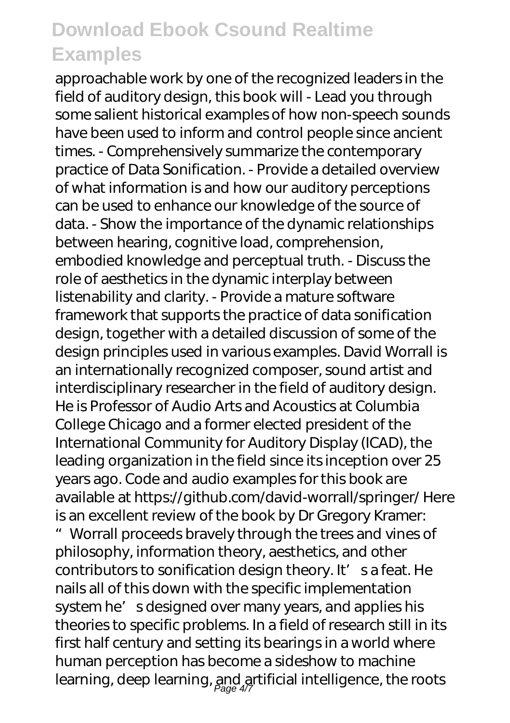approachable work by one of the recognized leaders in the field of auditory design, this book will - Lead you through some salient historical examples of how non-speech sounds have been used to inform and control people since ancient times. - Comprehensively summarize the contemporary practice of Data Sonification. - Provide a detailed overview of what information is and how our auditory perceptions can be used to enhance our knowledge of the source of data. - Show the importance of the dynamic relationships between hearing, cognitive load, comprehension, embodied knowledge and perceptual truth. - Discuss the role of aesthetics in the dynamic interplay between listenability and clarity. - Provide a mature software framework that supports the practice of data sonification design, together with a detailed discussion of some of the design principles used in various examples. David Worrall is an internationally recognized composer, sound artist and interdisciplinary researcher in the field of auditory design. He is Professor of Audio Arts and Acoustics at Columbia College Chicago and a former elected president of the International Community for Auditory Display (ICAD), the leading organization in the field since its inception over 25 years ago. Code and audio examples for this book are available at https://github.com/david-worrall/springer/ Here is an excellent review of the book by Dr Gregory Kramer: "Worrall proceeds bravely through the trees and vines of philosophy, information theory, aesthetics, and other contributors to sonification design theory. It' s a feat. He nails all of this down with the specific implementation system he' s designed over many years, and applies his theories to specific problems. In a field of research still in its first half century and setting its bearings in a world where human perception has become a sideshow to machine learning, deep learning,  $_{\it Page~4/7}^{A}$  artificial intelligence, the roots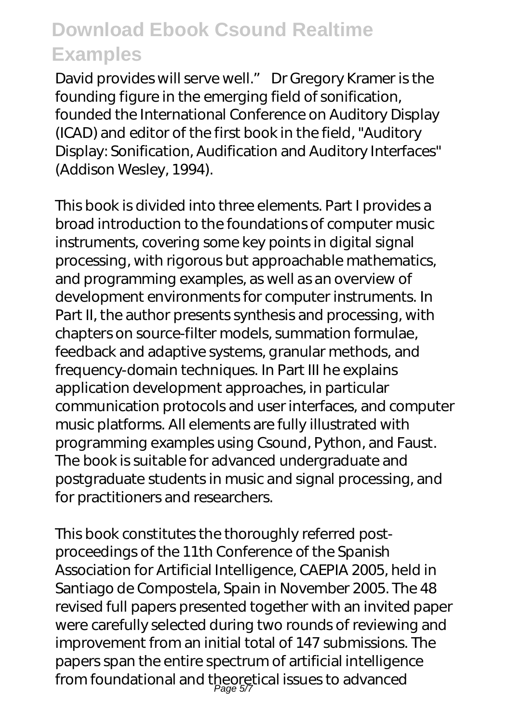David provides will serve well." Dr Gregory Kramer is the founding figure in the emerging field of sonification, founded the International Conference on Auditory Display (ICAD) and editor of the first book in the field, "Auditory Display: Sonification, Audification and Auditory Interfaces" (Addison Wesley, 1994).

This book is divided into three elements. Part I provides a broad introduction to the foundations of computer music instruments, covering some key points in digital signal processing, with rigorous but approachable mathematics, and programming examples, as well as an overview of development environments for computer instruments. In Part II, the author presents synthesis and processing, with chapters on source-filter models, summation formulae, feedback and adaptive systems, granular methods, and frequency-domain techniques. In Part III he explains application development approaches, in particular communication protocols and user interfaces, and computer music platforms. All elements are fully illustrated with programming examples using Csound, Python, and Faust. The book is suitable for advanced undergraduate and postgraduate students in music and signal processing, and for practitioners and researchers.

This book constitutes the thoroughly referred postproceedings of the 11th Conference of the Spanish Association for Artificial Intelligence, CAEPIA 2005, held in Santiago de Compostela, Spain in November 2005. The 48 revised full papers presented together with an invited paper were carefully selected during two rounds of reviewing and improvement from an initial total of 147 submissions. The papers span the entire spectrum of artificial intelligence from foundational and theoretical issues to advanced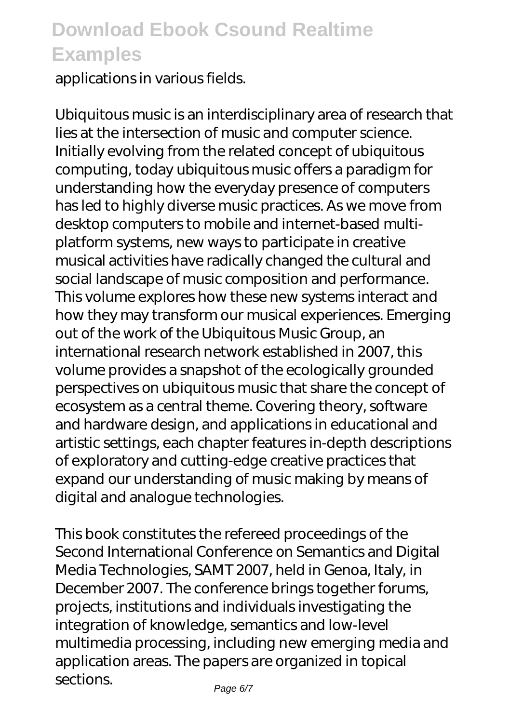applications in various fields.

Ubiquitous music is an interdisciplinary area of research that lies at the intersection of music and computer science. Initially evolving from the related concept of ubiquitous computing, today ubiquitous music offers a paradigm for understanding how the everyday presence of computers has led to highly diverse music practices. As we move from desktop computers to mobile and internet-based multiplatform systems, new ways to participate in creative musical activities have radically changed the cultural and social landscape of music composition and performance. This volume explores how these new systems interact and how they may transform our musical experiences. Emerging out of the work of the Ubiquitous Music Group, an international research network established in 2007, this volume provides a snapshot of the ecologically grounded perspectives on ubiquitous music that share the concept of ecosystem as a central theme. Covering theory, software and hardware design, and applications in educational and artistic settings, each chapter features in-depth descriptions of exploratory and cutting-edge creative practices that expand our understanding of music making by means of digital and analogue technologies.

This book constitutes the refereed proceedings of the Second International Conference on Semantics and Digital Media Technologies, SAMT 2007, held in Genoa, Italy, in December 2007. The conference brings together forums, projects, institutions and individuals investigating the integration of knowledge, semantics and low-level multimedia processing, including new emerging media and application areas. The papers are organized in topical sections.